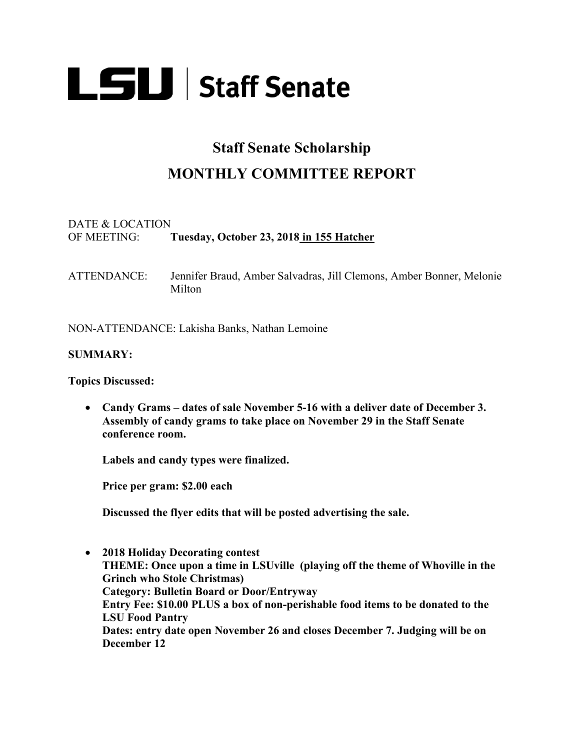

# **Staff Senate Scholarship**

## **MONTHLY COMMITTEE REPORT**

#### DATE & LOCATION OF MEETING: **Tuesday, October 23, 2018 in 155 Hatcher**

ATTENDANCE: Jennifer Braud, Amber Salvadras, Jill Clemons, Amber Bonner, Melonie Milton

NON-ATTENDANCE: Lakisha Banks, Nathan Lemoine

#### **SUMMARY:**

**Topics Discussed:**

• **Candy Grams – dates of sale November 5-16 with a deliver date of December 3. Assembly of candy grams to take place on November 29 in the Staff Senate conference room.** 

**Labels and candy types were finalized.**

**Price per gram: \$2.00 each**

**Discussed the flyer edits that will be posted advertising the sale.**

• **2018 Holiday Decorating contest THEME: Once upon a time in LSUville (playing off the theme of Whoville in the Grinch who Stole Christmas) Category: Bulletin Board or Door/Entryway Entry Fee: \$10.00 PLUS a box of non-perishable food items to be donated to the LSU Food Pantry Dates: entry date open November 26 and closes December 7. Judging will be on December 12**